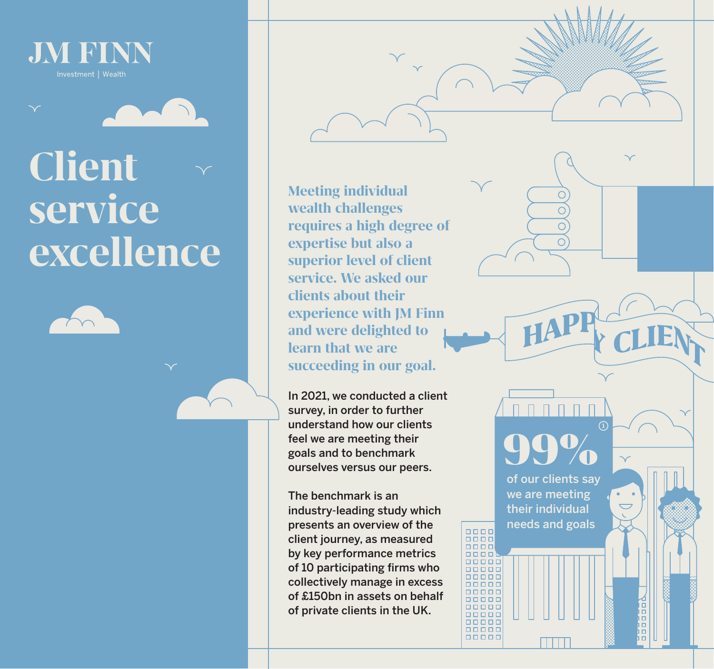

## **Client service excellence**





In 2021, we conducted a client survey, in order to further understand how our clients feel we are meeting their goals and to benchmark ourselves versus our peers.

99%

HAPI

 $\bigcap$  $\bigcap$ 

 $\bigcirc$  $\overline{O}$ 

of our clients say we are meeting their individual needs and goals

The benchmark is an industry-leading study which presents an overview of the client journey, as measured by key performance metrics of 10 participating firms who collectively manage in excess of £150bn in assets on behalf of private clients in the UK.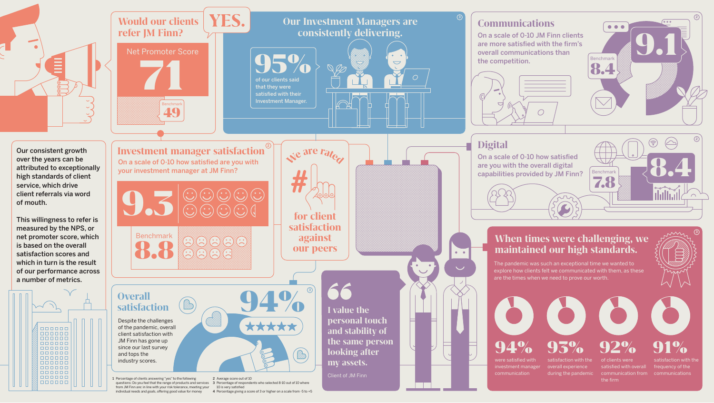

were satisfied with investment manager communication satisfaction with the overall experience during the pandemic

of clients were

satisfied with overall

the firm

communication from communications satisfaction with th frequency of the